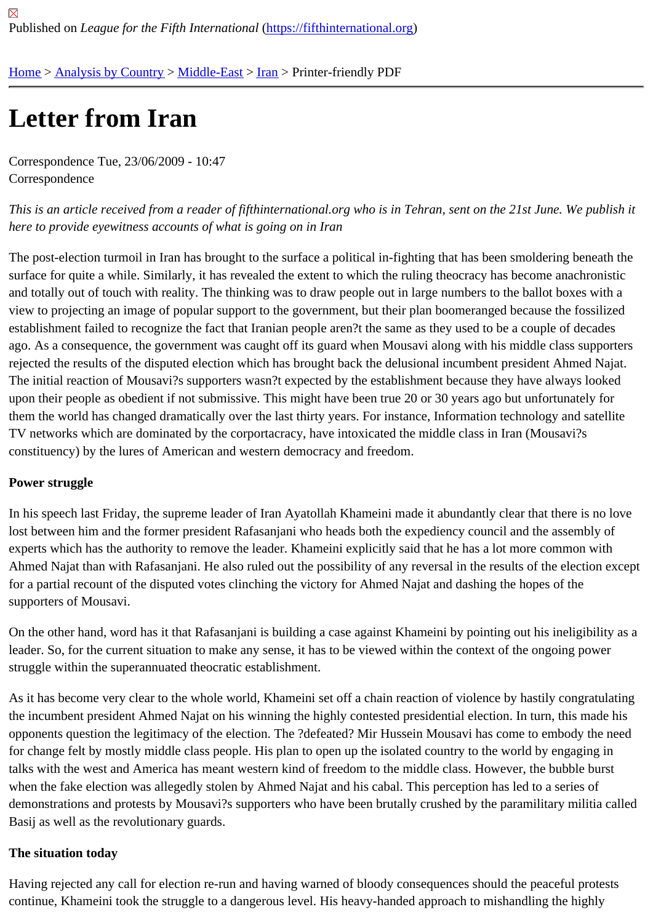# [Let](https://fifthinternational.org/)t[er from Ira](https://fifthinternational.org/category/1)[n](https://fifthinternational.org/category/1/178)

Correspondence Tue, 23/06/2009 - 10:47 **Correspondence** 

This is an article received from a reader of fifthinternational.org who is in Tehran, sent on the 21st June. We publis here to provide eyewitness accounts of what is going on in Iran

The post-election turmoil in Iran has brought to the surface a political in-fighting that has been smoldering beneath surface for quite a while. Similarly, it has revealed the extent to which the ruling theocracy has become anachronis and totally out of touch with reality. The thinking was to draw people out in large numbers to the ballot boxes with a view to projecting an image of popular support to the government, but their plan boomeranged because the fossiliz establishment failed to recognize the fact that Iranian people aren?t the same as they used to be a couple of deca ago. As a consequence, the government was caught off its guard when Mousavi along with his middle class suppor rejected the results of the disputed election which has brought back the delusional incumbent president Ahmed Na The initial reaction of Mousavi?s supporters wasn?t expected by the establishment because they have always lool upon their people as obedient if not submissive. This might have been true 20 or 30 years ago but unfortunately fo them the world has changed dramatically over the last thirty years. For instance, Information technology and satell TV networks which are dominated by the corportacracy, have intoxicated the middle class in Iran (Mousavi?s constituency) by the lures of American and western democracy and freedom.

### Power struggle

In his speech last Friday, the supreme leader of Iran Ayatollah Khameini made it abundantly clear that there is no lost between him and the former president Rafasanjani who heads both the expediency council and the assembly experts which has the authority to remove the leader. Khameini explicitly said that he has a lot more common with Ahmed Najat than with Rafasanjani. He also ruled out the possibility of any reversal in the results of the election ex for a partial recount of the disputed votes clinching the victory for Ahmed Najat and dashing the hopes of the supporters of Mousavi.

On the other hand, word has it that Rafasanjani is building a case against Khameini by pointing out his ineligibility leader. So, for the current situation to make any sense, it has to be viewed within the context of the ongoing power struggle within the superannuated theocratic establishment.

As it has become very clear to the whole world, Khameini set off a chain reaction of violence by hastily congratulat the incumbent president Ahmed Najat on his winning the highly contested presidential election. In turn, this made l opponents question the legitimacy of the election. The ?defeated? Mir Hussein Mousavi has come to embody the for change felt by mostly middle class people. His plan to open up the isolated country to the world by engaging in talks with the west and America has meant western kind of freedom to the middle class. However, the bubble burs when the fake election was allegedly stolen by Ahmed Najat and his cabal. This perception has led to a series of demonstrations and protests by Mousavi?s supporters who have been brutally crushed by the paramilitary militia c Basij as well as the revolutionary guards.

#### The situation today

Having rejected any call for election re-run and having warned of bloody consequences should the peaceful protes continue, Khameini took the struggle to a dangerous level. His heavy-handed approach to mishandling the highly